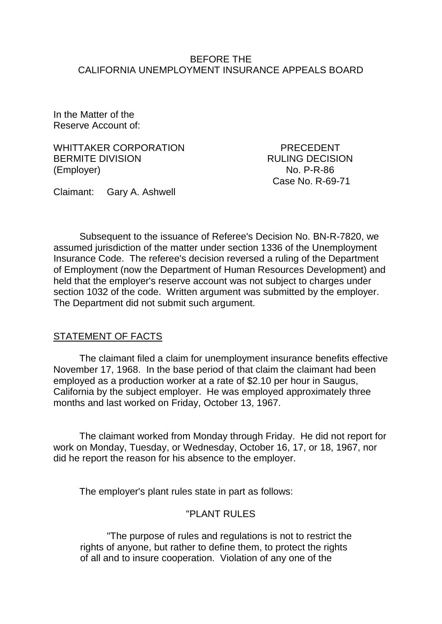#### BEFORE THE CALIFORNIA UNEMPLOYMENT INSURANCE APPEALS BOARD

In the Matter of the Reserve Account of:

WHITTAKER CORPORATION PRECEDENT BERMITE DIVISION RULING DECISION (Employer) No. P-R-86

Case No. R-69-71

Claimant: Gary A. Ashwell

Subsequent to the issuance of Referee's Decision No. BN-R-7820, we assumed jurisdiction of the matter under section 1336 of the Unemployment Insurance Code. The referee's decision reversed a ruling of the Department of Employment (now the Department of Human Resources Development) and held that the employer's reserve account was not subject to charges under section 1032 of the code. Written argument was submitted by the employer. The Department did not submit such argument.

### STATEMENT OF FACTS

The claimant filed a claim for unemployment insurance benefits effective November 17, 1968. In the base period of that claim the claimant had been employed as a production worker at a rate of \$2.10 per hour in Saugus, California by the subject employer. He was employed approximately three months and last worked on Friday, October 13, 1967.

The claimant worked from Monday through Friday. He did not report for work on Monday, Tuesday, or Wednesday, October 16, 17, or 18, 1967, nor did he report the reason for his absence to the employer.

The employer's plant rules state in part as follows:

### "PLANT RULES

"The purpose of rules and regulations is not to restrict the rights of anyone, but rather to define them, to protect the rights of all and to insure cooperation. Violation of any one of the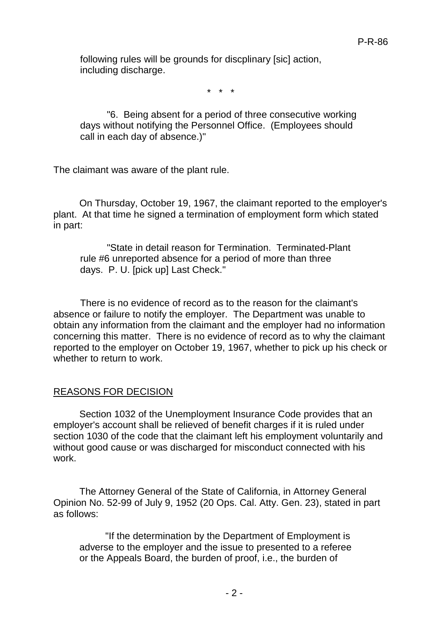following rules will be grounds for discplinary [sic] action, including discharge.

\* \* \*

"6. Being absent for a period of three consecutive working days without notifying the Personnel Office. (Employees should call in each day of absence.)"

The claimant was aware of the plant rule.

On Thursday, October 19, 1967, the claimant reported to the employer's plant. At that time he signed a termination of employment form which stated in part:

"State in detail reason for Termination. Terminated-Plant rule #6 unreported absence for a period of more than three days. P. U. [pick up] Last Check."

There is no evidence of record as to the reason for the claimant's absence or failure to notify the employer. The Department was unable to obtain any information from the claimant and the employer had no information concerning this matter. There is no evidence of record as to why the claimant reported to the employer on October 19, 1967, whether to pick up his check or whether to return to work.

### REASONS FOR DECISION

Section 1032 of the Unemployment Insurance Code provides that an employer's account shall be relieved of benefit charges if it is ruled under section 1030 of the code that the claimant left his employment voluntarily and without good cause or was discharged for misconduct connected with his work.

The Attorney General of the State of California, in Attorney General Opinion No. 52-99 of July 9, 1952 (20 Ops. Cal. Atty. Gen. 23), stated in part as follows:

"If the determination by the Department of Employment is adverse to the employer and the issue to presented to a referee or the Appeals Board, the burden of proof, i.e., the burden of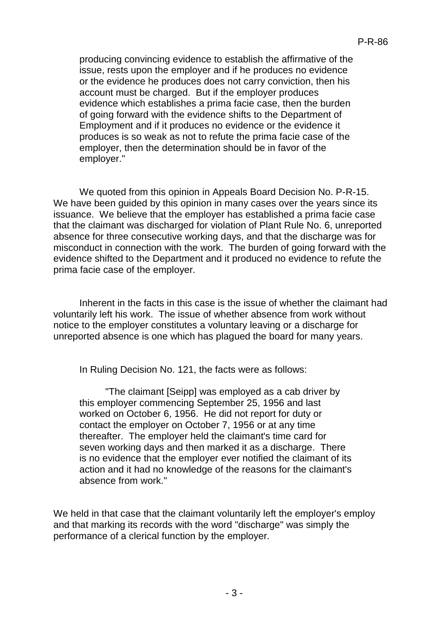producing convincing evidence to establish the affirmative of the issue, rests upon the employer and if he produces no evidence or the evidence he produces does not carry conviction, then his account must be charged. But if the employer produces evidence which establishes a prima facie case, then the burden of going forward with the evidence shifts to the Department of Employment and if it produces no evidence or the evidence it produces is so weak as not to refute the prima facie case of the employer, then the determination should be in favor of the employer."

We quoted from this opinion in Appeals Board Decision No. P-R-15. We have been guided by this opinion in many cases over the years since its issuance. We believe that the employer has established a prima facie case that the claimant was discharged for violation of Plant Rule No. 6, unreported absence for three consecutive working days, and that the discharge was for misconduct in connection with the work. The burden of going forward with the evidence shifted to the Department and it produced no evidence to refute the prima facie case of the employer.

Inherent in the facts in this case is the issue of whether the claimant had voluntarily left his work. The issue of whether absence from work without notice to the employer constitutes a voluntary leaving or a discharge for unreported absence is one which has plagued the board for many years.

In Ruling Decision No. 121, the facts were as follows:

"The claimant [Seipp] was employed as a cab driver by this employer commencing September 25, 1956 and last worked on October 6, 1956. He did not report for duty or contact the employer on October 7, 1956 or at any time thereafter. The employer held the claimant's time card for seven working days and then marked it as a discharge. There is no evidence that the employer ever notified the claimant of its action and it had no knowledge of the reasons for the claimant's absence from work."

We held in that case that the claimant voluntarily left the employer's employ and that marking its records with the word "discharge" was simply the performance of a clerical function by the employer.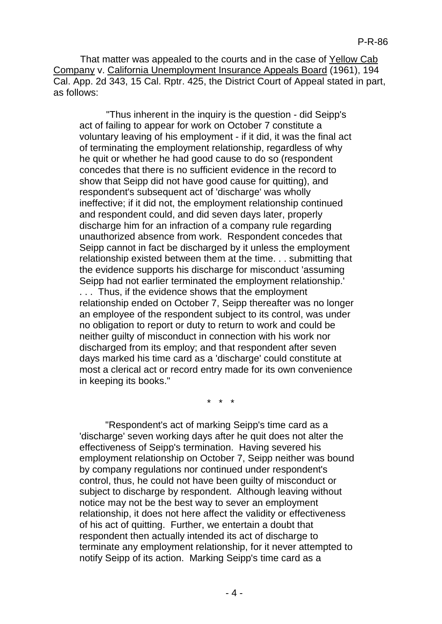That matter was appealed to the courts and in the case of Yellow Cab Company v. California Unemployment Insurance Appeals Board (1961), 194 Cal. App. 2d 343, 15 Cal. Rptr. 425, the District Court of Appeal stated in part, as follows:

"Thus inherent in the inquiry is the question - did Seipp's act of failing to appear for work on October 7 constitute a voluntary leaving of his employment - if it did, it was the final act of terminating the employment relationship, regardless of why he quit or whether he had good cause to do so (respondent concedes that there is no sufficient evidence in the record to show that Seipp did not have good cause for quitting), and respondent's subsequent act of 'discharge' was wholly ineffective; if it did not, the employment relationship continued and respondent could, and did seven days later, properly discharge him for an infraction of a company rule regarding unauthorized absence from work. Respondent concedes that Seipp cannot in fact be discharged by it unless the employment relationship existed between them at the time. . . submitting that the evidence supports his discharge for misconduct 'assuming Seipp had not earlier terminated the employment relationship.' . . . Thus, if the evidence shows that the employment relationship ended on October 7, Seipp thereafter was no longer an employee of the respondent subject to its control, was under no obligation to report or duty to return to work and could be neither guilty of misconduct in connection with his work nor discharged from its employ; and that respondent after seven days marked his time card as a 'discharge' could constitute at most a clerical act or record entry made for its own convenience in keeping its books."

\* \* \*

"Respondent's act of marking Seipp's time card as a 'discharge' seven working days after he quit does not alter the effectiveness of Seipp's termination. Having severed his employment relationship on October 7, Seipp neither was bound by company regulations nor continued under respondent's control, thus, he could not have been guilty of misconduct or subject to discharge by respondent. Although leaving without notice may not be the best way to sever an employment relationship, it does not here affect the validity or effectiveness of his act of quitting. Further, we entertain a doubt that respondent then actually intended its act of discharge to terminate any employment relationship, for it never attempted to notify Seipp of its action. Marking Seipp's time card as a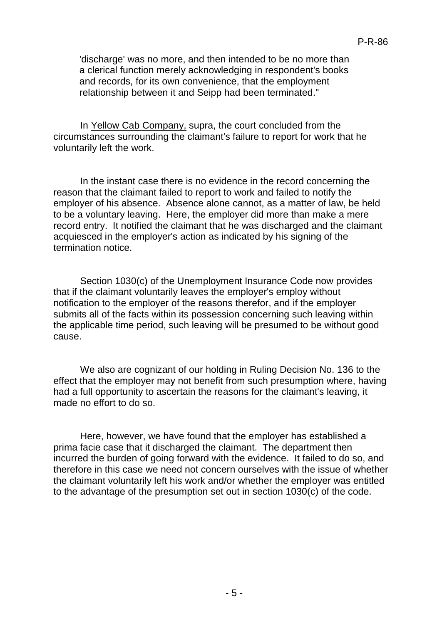'discharge' was no more, and then intended to be no more than a clerical function merely acknowledging in respondent's books and records, for its own convenience, that the employment relationship between it and Seipp had been terminated."

In Yellow Cab Company, supra, the court concluded from the circumstances surrounding the claimant's failure to report for work that he voluntarily left the work.

In the instant case there is no evidence in the record concerning the reason that the claimant failed to report to work and failed to notify the employer of his absence. Absence alone cannot, as a matter of law, be held to be a voluntary leaving. Here, the employer did more than make a mere record entry. It notified the claimant that he was discharged and the claimant acquiesced in the employer's action as indicated by his signing of the termination notice.

Section 1030(c) of the Unemployment Insurance Code now provides that if the claimant voluntarily leaves the employer's employ without notification to the employer of the reasons therefor, and if the employer submits all of the facts within its possession concerning such leaving within the applicable time period, such leaving will be presumed to be without good cause.

We also are cognizant of our holding in Ruling Decision No. 136 to the effect that the employer may not benefit from such presumption where, having had a full opportunity to ascertain the reasons for the claimant's leaving, it made no effort to do so.

Here, however, we have found that the employer has established a prima facie case that it discharged the claimant. The department then incurred the burden of going forward with the evidence. It failed to do so, and therefore in this case we need not concern ourselves with the issue of whether the claimant voluntarily left his work and/or whether the employer was entitled to the advantage of the presumption set out in section 1030(c) of the code.